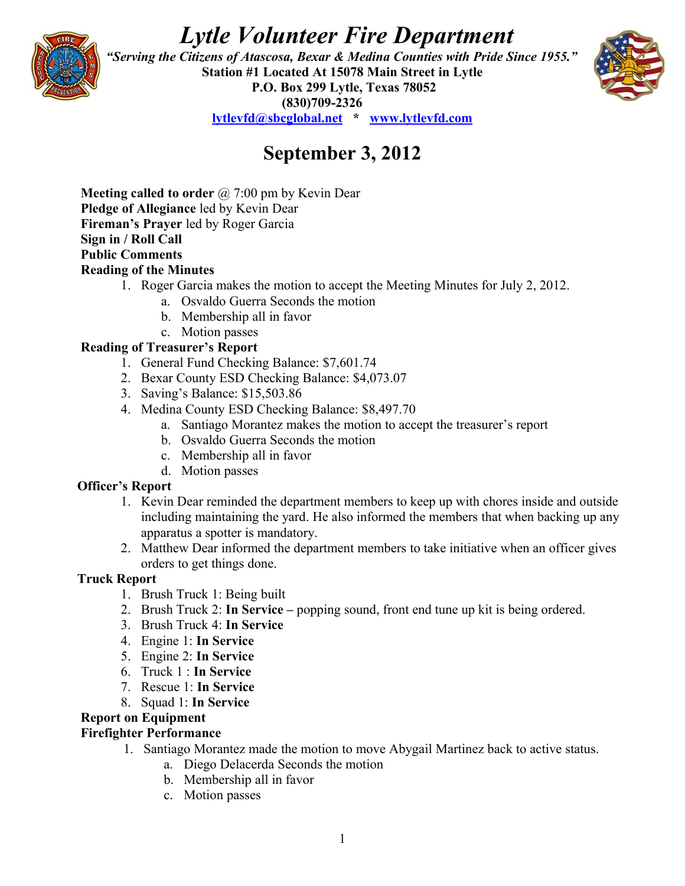# *Lytle Volunteer Fire Department*



 *"Serving the Citizens of Atascosa, Bexar & Medina Counties with Pride Since 1955."*  **Station #1 Located At 15078 Main Street in Lytle P.O. Box 299 Lytle, Texas 78052 (830)709-2326 [lytlevfd@sbcglobal.net](mailto:lytlevfd@sbcglobal.net) \* [www.lytlevfd.com](http://www.lytlevfd.com/)**



## **September 3, 2012**

**Meeting called to order** @ 7:00 pm by Kevin Dear **Pledge of Allegiance** led by Kevin Dear **Fireman's Prayer** led by Roger Garcia **Sign in / Roll Call Public Comments Reading of the Minutes**

- 1. Roger Garcia makes the motion to accept the Meeting Minutes for July 2, 2012.
	- a. Osvaldo Guerra Seconds the motion
	- b. Membership all in favor
	- c. Motion passes

#### **Reading of Treasurer's Report**

- 1. General Fund Checking Balance: \$7,601.74
- 2. Bexar County ESD Checking Balance: \$4,073.07
- 3. Saving's Balance: \$15,503.86
- 4. Medina County ESD Checking Balance: \$8,497.70
	- a. Santiago Morantez makes the motion to accept the treasurer's report
	- b. Osvaldo Guerra Seconds the motion
	- c. Membership all in favor
	- d. Motion passes

#### **Officer's Report**

- 1. Kevin Dear reminded the department members to keep up with chores inside and outside including maintaining the yard. He also informed the members that when backing up any apparatus a spotter is mandatory.
- 2. Matthew Dear informed the department members to take initiative when an officer gives orders to get things done.

#### **Truck Report**

- 1. Brush Truck 1: Being built
- 2. Brush Truck 2: **In Service** popping sound, front end tune up kit is being ordered.
- 3. Brush Truck 4: **In Service**
- 4. Engine 1: **In Service**
- 5. Engine 2: **In Service**
- 6. Truck 1 : **In Service**
- 7. Rescue 1: **In Service**
- 8. Squad 1: **In Service**

## **Report on Equipment**

#### **Firefighter Performance**

- 1. Santiago Morantez made the motion to move Abygail Martinez back to active status.
	- a. Diego Delacerda Seconds the motion
	- b. Membership all in favor
	- c. Motion passes